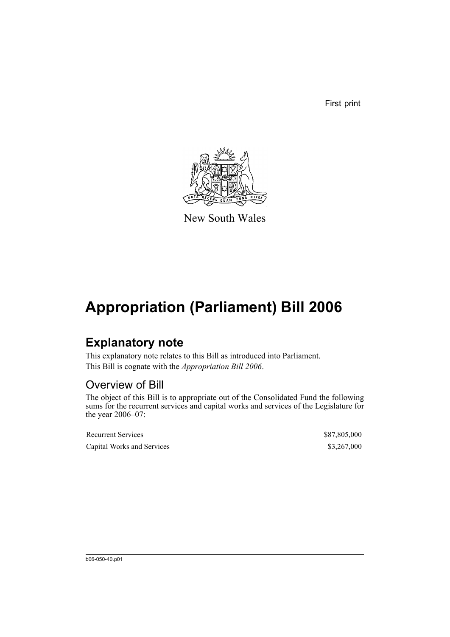First print



New South Wales

## **Appropriation (Parliament) Bill 2006**

## **Explanatory note**

This explanatory note relates to this Bill as introduced into Parliament. This Bill is cognate with the *Appropriation Bill 2006*.

### Overview of Bill

The object of this Bill is to appropriate out of the Consolidated Fund the following sums for the recurrent services and capital works and services of the Legislature for the year 2006–07:

| <b>Recurrent Services</b>  | \$87,805,000 |
|----------------------------|--------------|
| Capital Works and Services | \$3,267,000  |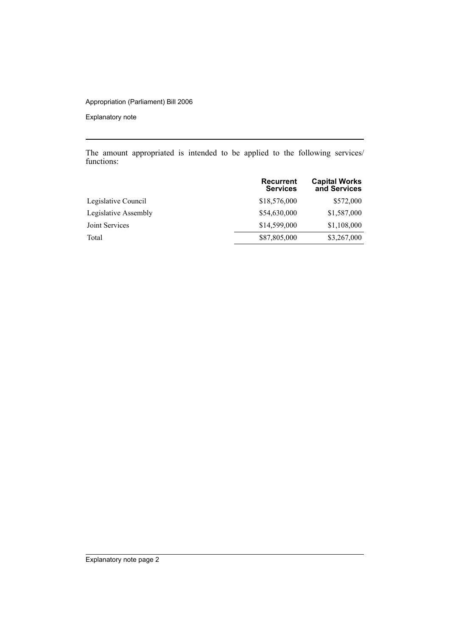#### Appropriation (Parliament) Bill 2006

Explanatory note

The amount appropriated is intended to be applied to the following services/ functions:

|                      | <b>Recurrent</b><br><b>Services</b> | <b>Capital Works</b><br>and Services |
|----------------------|-------------------------------------|--------------------------------------|
| Legislative Council  | \$18,576,000                        | \$572,000                            |
| Legislative Assembly | \$54,630,000                        | \$1,587,000                          |
| Joint Services       | \$14,599,000                        | \$1,108,000                          |
| Total                | \$87,805,000                        | \$3,267,000                          |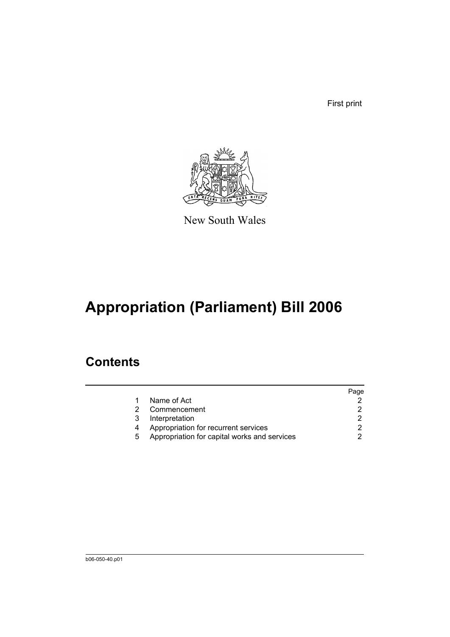First print



New South Wales

# **Appropriation (Parliament) Bill 2006**

## **Contents**

|   |                                              | Page |
|---|----------------------------------------------|------|
|   | Name of Act                                  |      |
|   | Commencement                                 |      |
| 3 | Interpretation                               |      |
|   | Appropriation for recurrent services         |      |
| 5 | Appropriation for capital works and services |      |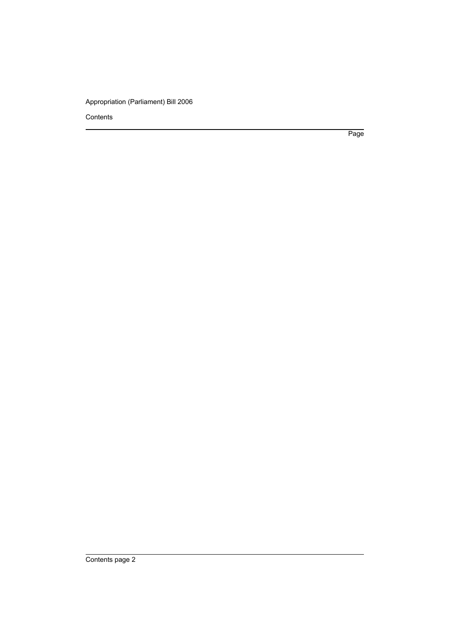Appropriation (Parliament) Bill 2006

Contents

Page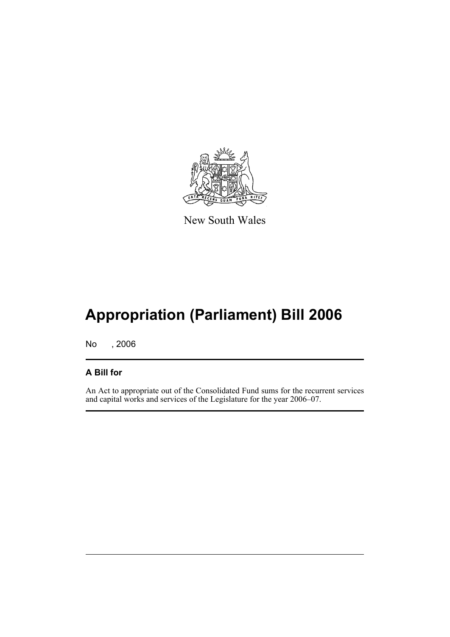

New South Wales

# **Appropriation (Parliament) Bill 2006**

No , 2006

### **A Bill for**

An Act to appropriate out of the Consolidated Fund sums for the recurrent services and capital works and services of the Legislature for the year 2006–07.